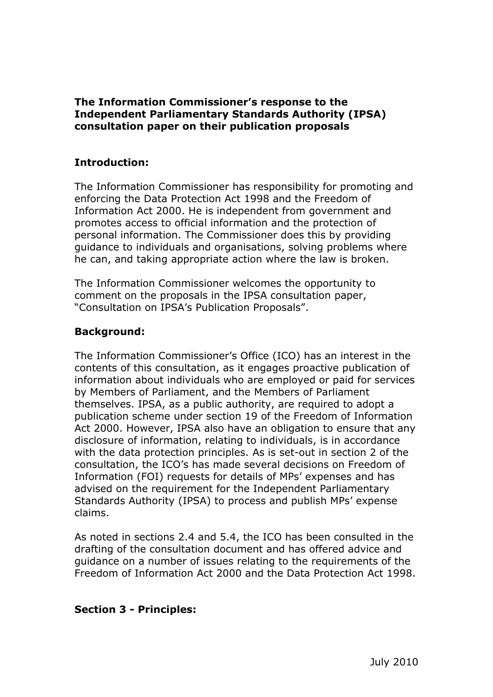**The Information Commissioner's response to the Independent Parliamentary Standards Authority (IPSA) consultation paper on their publication proposals**

## **Introduction:**

The Information Commissioner has responsibility for promoting and enforcing the Data Protection Act 1998 and the Freedom of Information Act 2000. He is independent from government and promotes access to official information and the protection of personal information. The Commissioner does this by providing guidance to individuals and organisations, solving problems where he can, and taking appropriate action where the law is broken.

The Information Commissioner welcomes the opportunity to comment on the proposals in the IPSA consultation paper, "Consultation on IPSA"s Publication Proposals".

### **Background:**

The Information Commissioner"s Office (ICO) has an interest in the contents of this consultation, as it engages proactive publication of information about individuals who are employed or paid for services by Members of Parliament, and the Members of Parliament themselves. IPSA, as a public authority, are required to adopt a publication scheme under section 19 of the Freedom of Information Act 2000. However, IPSA also have an obligation to ensure that any disclosure of information, relating to individuals, is in accordance with the data protection principles. As is set-out in section 2 of the consultation, the ICO"s has made several decisions on Freedom of Information (FOI) requests for details of MPs' expenses and has advised on the requirement for the Independent Parliamentary Standards Authority (IPSA) to process and publish MPs' expense claims.

As noted in sections 2.4 and 5.4, the ICO has been consulted in the drafting of the consultation document and has offered advice and guidance on a number of issues relating to the requirements of the Freedom of Information Act 2000 and the Data Protection Act 1998.

#### **Section 3 - Principles:**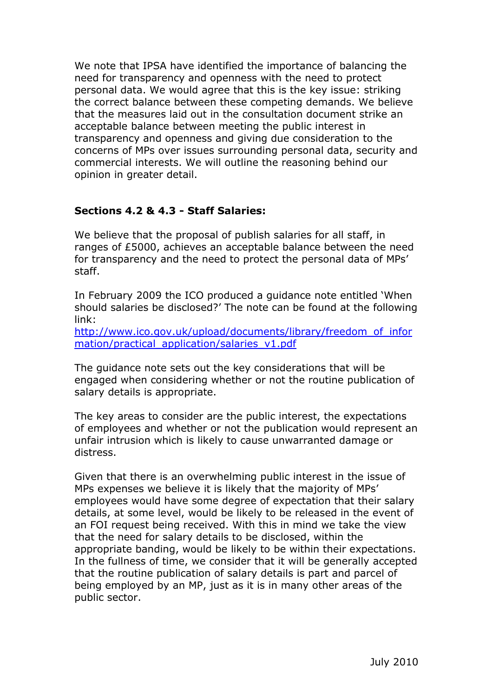We note that IPSA have identified the importance of balancing the need for transparency and openness with the need to protect personal data. We would agree that this is the key issue: striking the correct balance between these competing demands. We believe that the measures laid out in the consultation document strike an acceptable balance between meeting the public interest in transparency and openness and giving due consideration to the concerns of MPs over issues surrounding personal data, security and commercial interests. We will outline the reasoning behind our opinion in greater detail.

# **Sections 4.2 & 4.3 - Staff Salaries:**

We believe that the proposal of publish salaries for all staff, in ranges of £5000, achieves an acceptable balance between the need for transparency and the need to protect the personal data of MPs' staff.

In February 2009 the ICO produced a guidance note entitled "When should salaries be disclosed?" The note can be found at the following link:

[http://www.ico.gov.uk/upload/documents/library/freedom\\_of\\_infor](http://www.ico.gov.uk/upload/documents/library/freedom_of_information/practical_application/salaries_v1.pdf) mation/practical application/salaries v1.pdf

The guidance note sets out the key considerations that will be engaged when considering whether or not the routine publication of salary details is appropriate.

The key areas to consider are the public interest, the expectations of employees and whether or not the publication would represent an unfair intrusion which is likely to cause unwarranted damage or distress.

Given that there is an overwhelming public interest in the issue of MPs expenses we believe it is likely that the majority of MPs' employees would have some degree of expectation that their salary details, at some level, would be likely to be released in the event of an FOI request being received. With this in mind we take the view that the need for salary details to be disclosed, within the appropriate banding, would be likely to be within their expectations. In the fullness of time, we consider that it will be generally accepted that the routine publication of salary details is part and parcel of being employed by an MP, just as it is in many other areas of the public sector.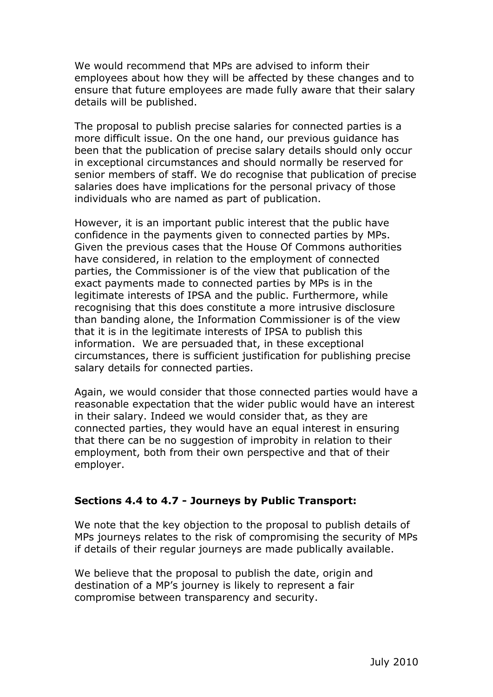We would recommend that MPs are advised to inform their employees about how they will be affected by these changes and to ensure that future employees are made fully aware that their salary details will be published.

The proposal to publish precise salaries for connected parties is a more difficult issue. On the one hand, our previous guidance has been that the publication of precise salary details should only occur in exceptional circumstances and should normally be reserved for senior members of staff. We do recognise that publication of precise salaries does have implications for the personal privacy of those individuals who are named as part of publication.

However, it is an important public interest that the public have confidence in the payments given to connected parties by MPs. Given the previous cases that the House Of Commons authorities have considered, in relation to the employment of connected parties, the Commissioner is of the view that publication of the exact payments made to connected parties by MPs is in the legitimate interests of IPSA and the public. Furthermore, while recognising that this does constitute a more intrusive disclosure than banding alone, the Information Commissioner is of the view that it is in the legitimate interests of IPSA to publish this information. We are persuaded that, in these exceptional circumstances, there is sufficient justification for publishing precise salary details for connected parties.

Again, we would consider that those connected parties would have a reasonable expectation that the wider public would have an interest in their salary. Indeed we would consider that, as they are connected parties, they would have an equal interest in ensuring that there can be no suggestion of improbity in relation to their employment, both from their own perspective and that of their employer.

#### **Sections 4.4 to 4.7 - Journeys by Public Transport:**

We note that the key objection to the proposal to publish details of MPs journeys relates to the risk of compromising the security of MPs if details of their regular journeys are made publically available.

We believe that the proposal to publish the date, origin and destination of a MP"s journey is likely to represent a fair compromise between transparency and security.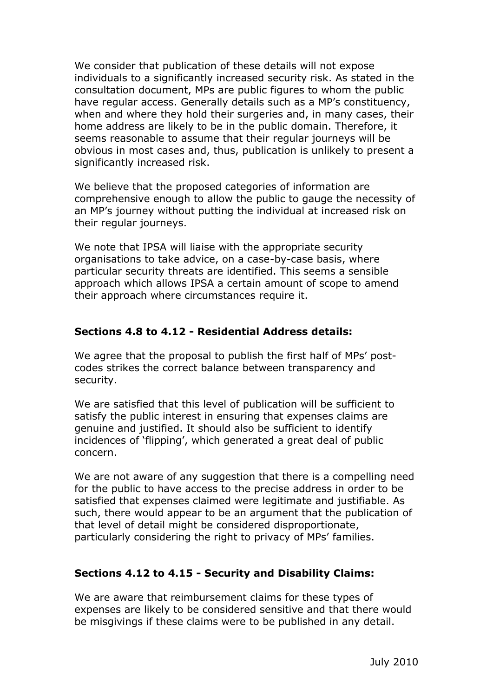We consider that publication of these details will not expose individuals to a significantly increased security risk. As stated in the consultation document, MPs are public figures to whom the public have regular access. Generally details such as a MP"s constituency, when and where they hold their surgeries and, in many cases, their home address are likely to be in the public domain. Therefore, it seems reasonable to assume that their regular journeys will be obvious in most cases and, thus, publication is unlikely to present a significantly increased risk.

We believe that the proposed categories of information are comprehensive enough to allow the public to gauge the necessity of an MP"s journey without putting the individual at increased risk on their regular journeys.

We note that IPSA will liaise with the appropriate security organisations to take advice, on a case-by-case basis, where particular security threats are identified. This seems a sensible approach which allows IPSA a certain amount of scope to amend their approach where circumstances require it.

# **Sections 4.8 to 4.12 - Residential Address details:**

We agree that the proposal to publish the first half of MPs' postcodes strikes the correct balance between transparency and security.

We are satisfied that this level of publication will be sufficient to satisfy the public interest in ensuring that expenses claims are genuine and justified. It should also be sufficient to identify incidences of "flipping", which generated a great deal of public concern.

We are not aware of any suggestion that there is a compelling need for the public to have access to the precise address in order to be satisfied that expenses claimed were legitimate and justifiable. As such, there would appear to be an argument that the publication of that level of detail might be considered disproportionate, particularly considering the right to privacy of MPs' families.

# **Sections 4.12 to 4.15 - Security and Disability Claims:**

We are aware that reimbursement claims for these types of expenses are likely to be considered sensitive and that there would be misgivings if these claims were to be published in any detail.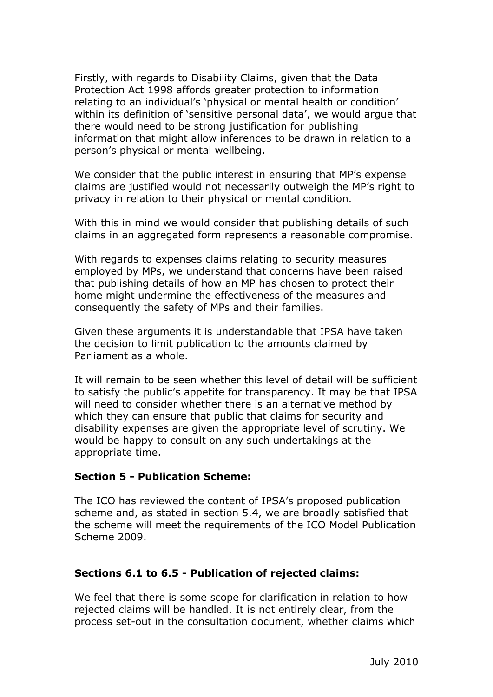Firstly, with regards to Disability Claims, given that the Data Protection Act 1998 affords greater protection to information relating to an individual's 'physical or mental health or condition' within its definition of 'sensitive personal data', we would arque that there would need to be strong justification for publishing information that might allow inferences to be drawn in relation to a person"s physical or mental wellbeing.

We consider that the public interest in ensuring that MP's expense claims are justified would not necessarily outweigh the MP"s right to privacy in relation to their physical or mental condition.

With this in mind we would consider that publishing details of such claims in an aggregated form represents a reasonable compromise.

With regards to expenses claims relating to security measures employed by MPs, we understand that concerns have been raised that publishing details of how an MP has chosen to protect their home might undermine the effectiveness of the measures and consequently the safety of MPs and their families.

Given these arguments it is understandable that IPSA have taken the decision to limit publication to the amounts claimed by Parliament as a whole.

It will remain to be seen whether this level of detail will be sufficient to satisfy the public's appetite for transparency. It may be that IPSA will need to consider whether there is an alternative method by which they can ensure that public that claims for security and disability expenses are given the appropriate level of scrutiny. We would be happy to consult on any such undertakings at the appropriate time.

## **Section 5 - Publication Scheme:**

The ICO has reviewed the content of IPSA"s proposed publication scheme and, as stated in section 5.4, we are broadly satisfied that the scheme will meet the requirements of the ICO Model Publication Scheme 2009.

# **Sections 6.1 to 6.5 - Publication of rejected claims:**

We feel that there is some scope for clarification in relation to how rejected claims will be handled. It is not entirely clear, from the process set-out in the consultation document, whether claims which